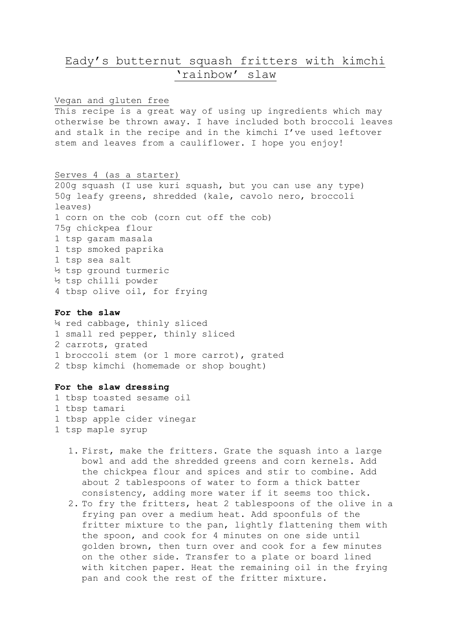## Eady's butternut squash fritters with kimchi 'rainbow' slaw

Vegan and gluten free This recipe is a great way of using up ingredients which may otherwise be thrown away. I have included both broccoli leaves and stalk in the recipe and in the kimchi I've used leftover stem and leaves from a cauliflower. I hope you enjoy!

Serves 4 (as a starter) 200g squash (I use kuri squash, but you can use any type) 50g leafy greens, shredded (kale, cavolo nero, broccoli leaves) 1 corn on the cob (corn cut off the cob) 75g chickpea flour 1 tsp garam masala 1 tsp smoked paprika 1 tsp sea salt ½ tsp ground turmeric ½ tsp chilli powder 4 tbsp olive oil, for frying

## **For the slaw**

¼ red cabbage, thinly sliced 1 small red pepper, thinly sliced 2 carrots, grated 1 broccoli stem (or 1 more carrot), grated 2 tbsp kimchi (homemade or shop bought)

## **For the slaw dressing**

1 tbsp toasted sesame oil 1 tbsp tamari 1 tbsp apple cider vinegar 1 tsp maple syrup

- 1. First, make the fritters. Grate the squash into a large bowl and add the shredded greens and corn kernels. Add the chickpea flour and spices and stir to combine. Add about 2 tablespoons of water to form a thick batter consistency, adding more water if it seems too thick.
- 2. To fry the fritters, heat 2 tablespoons of the olive in a frying pan over a medium heat. Add spoonfuls of the fritter mixture to the pan, lightly flattening them with the spoon, and cook for 4 minutes on one side until golden brown, then turn over and cook for a few minutes on the other side. Transfer to a plate or board lined with kitchen paper. Heat the remaining oil in the frying pan and cook the rest of the fritter mixture.